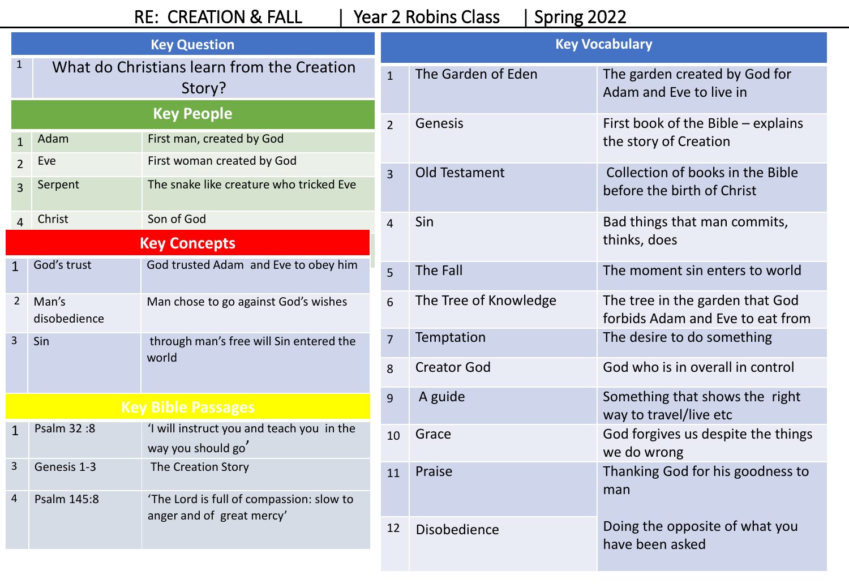## RE: CREATION & FALL | Year 2 Robins Class | Spring 2022

| <b>Key Question</b>       |                                                      |                                                                 |                | <b>Key Vocabulary</b>                                    |                                                                     |  |
|---------------------------|------------------------------------------------------|-----------------------------------------------------------------|----------------|----------------------------------------------------------|---------------------------------------------------------------------|--|
| 1                         | What do Christians learn from the Creation<br>Story? |                                                                 | $\mathbf{1}$   | The Garden of Eden                                       | The garden created by God for<br>Adam and Eve to live in            |  |
|                           | <b>Key People</b>                                    |                                                                 | $\overline{2}$ | Genesis                                                  | First book of the Bible – explains                                  |  |
|                           | Adam                                                 | First man, created by God                                       |                |                                                          | the story of Creation                                               |  |
| $\overline{2}$            | Eve                                                  | First woman created by God                                      | $\overline{3}$ | Old Testament                                            | Collection of books in the Bible                                    |  |
| $\overline{3}$            | Serpent                                              | The snake like creature who tricked Eve                         |                |                                                          | before the birth of Christ                                          |  |
|                           | Christ                                               | Son of God                                                      | $\overline{4}$ | Sin                                                      | Bad things that man commits,                                        |  |
|                           |                                                      | <b>Key Concepts</b>                                             |                |                                                          | thinks, does                                                        |  |
| $\mathbf{1}$              | God's trust                                          | God trusted Adam and Eve to obey him                            | $\overline{5}$ | The Fall                                                 | The moment sin enters to world                                      |  |
| $\overline{2}$            | Man's<br>disobedience                                | Man chose to go against God's wishes                            | 6              | The Tree of Knowledge                                    | The tree in the garden that God<br>forbids Adam and Eve to eat from |  |
| $\overline{3}$            | Sin                                                  | through man's free will Sin entered the<br>world                | 7              | Temptation                                               | The desire to do something                                          |  |
|                           |                                                      |                                                                 | 8              | <b>Creator God</b>                                       | God who is in overall in control                                    |  |
| <b>Key Bible Passages</b> |                                                      | 9                                                               | A guide        | Something that shows the right<br>way to travel/live etc |                                                                     |  |
| $\mathbf{1}$              | Psalm 32:8                                           | 'I will instruct you and teach you in the<br>way you should go' | 10             | Grace                                                    | God forgives us despite the things<br>we do wrong                   |  |
| 3                         | Genesis 1-3                                          | The Creation Story                                              | 11             | Praise                                                   | Thanking God for his goodness to                                    |  |
| $\overline{4}$            | Psalm 145:8                                          | 'The Lord is full of compassion: slow to                        |                |                                                          | man                                                                 |  |
|                           |                                                      | anger and of great mercy'                                       | 12             | Disobedience                                             | Doing the opposite of what you<br>have been asked                   |  |